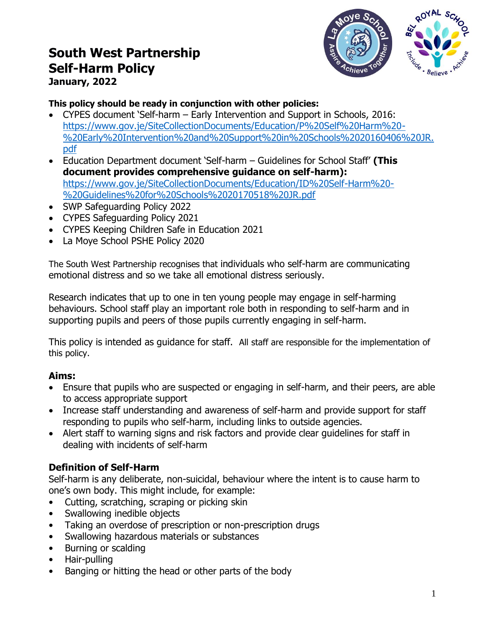# **South West Partnership Self-Harm Policy January, 2022**



# **This policy should be ready in conjunction with other policies:**

- CYPES document 'Self-harm Early Intervention and Support in Schools, 2016: [https://www.gov.je/SiteCollectionDocuments/Education/P%20Self%20Harm%20-](https://www.gov.je/SiteCollectionDocuments/Education/P%20Self%20Harm%20-%20Early%20Intervention%20and%20Support%20in%20Schools%2020160406%20JR.pdf) [%20Early%20Intervention%20and%20Support%20in%20Schools%2020160406%20JR.](https://www.gov.je/SiteCollectionDocuments/Education/P%20Self%20Harm%20-%20Early%20Intervention%20and%20Support%20in%20Schools%2020160406%20JR.pdf) [pdf](https://www.gov.je/SiteCollectionDocuments/Education/P%20Self%20Harm%20-%20Early%20Intervention%20and%20Support%20in%20Schools%2020160406%20JR.pdf)
- Education Department document 'Self-harm Guidelines for School Staff' **(This document provides comprehensive guidance on self-harm):**  [https://www.gov.je/SiteCollectionDocuments/Education/ID%20Self-Harm%20-](https://www.gov.je/SiteCollectionDocuments/Education/ID%20Self-Harm%20-%20Guidelines%20for%20Schools%2020170518%20JR.pdf) [%20Guidelines%20for%20Schools%2020170518%20JR.pdf](https://www.gov.je/SiteCollectionDocuments/Education/ID%20Self-Harm%20-%20Guidelines%20for%20Schools%2020170518%20JR.pdf)
- SWP Safeguarding Policy 2022
- CYPES Safeguarding Policy 2021
- CYPES Keeping Children Safe in Education 2021
- La Moye School PSHE Policy 2020

The South West Partnership recognises that individuals who self-harm are communicating emotional distress and so we take all emotional distress seriously.

Research indicates that up to one in ten young people may engage in self-harming behaviours. School staff play an important role both in responding to self-harm and in supporting pupils and peers of those pupils currently engaging in self-harm.

This policy is intended as guidance for staff. All staff are responsible for the implementation of this policy.

# **Aims:**

- Ensure that pupils who are suspected or engaging in self-harm, and their peers, are able to access appropriate support
- Increase staff understanding and awareness of self-harm and provide support for staff responding to pupils who self-harm, including links to outside agencies.
- Alert staff to warning signs and risk factors and provide clear guidelines for staff in dealing with incidents of self-harm

# **Definition of Self-Harm**

Self-harm is any deliberate, non-suicidal, behaviour where the intent is to cause harm to one's own body. This might include, for example:

- Cutting, scratching, scraping or picking skin
- Swallowing inedible objects
- Taking an overdose of prescription or non-prescription drugs
- Swallowing hazardous materials or substances
- Burning or scalding
- Hair-pulling
- Banging or hitting the head or other parts of the body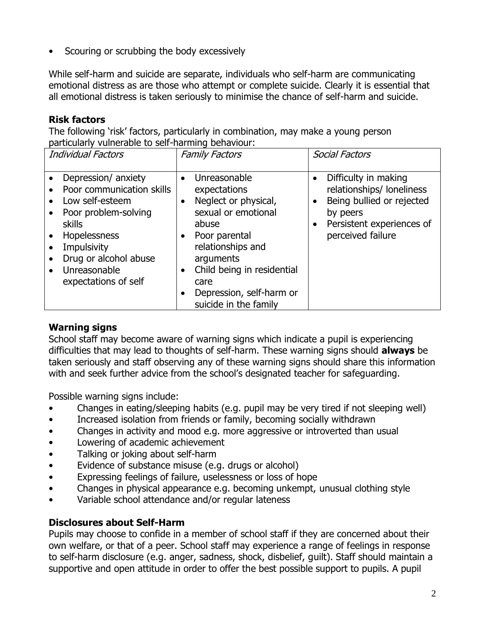• Scouring or scrubbing the body excessively

While self-harm and suicide are separate, individuals who self-harm are communicating emotional distress as are those who attempt or complete suicide. Clearly it is essential that all emotional distress is taken seriously to minimise the chance of self-harm and suicide.

### **Risk factors**

The following 'risk' factors, particularly in combination, may make a young person particularly vulnerable to self-harming behaviour:

| <b>Individual Factors</b>                                                                                                                                                                             | <b>Family Factors</b>                                                                                                                                                                                                                                                                               | <b>Social Factors</b>                                                                                                                        |
|-------------------------------------------------------------------------------------------------------------------------------------------------------------------------------------------------------|-----------------------------------------------------------------------------------------------------------------------------------------------------------------------------------------------------------------------------------------------------------------------------------------------------|----------------------------------------------------------------------------------------------------------------------------------------------|
| Depression/ anxiety<br>Poor communication skills<br>Low self-esteem<br>Poor problem-solving<br>skills<br>Hopelessness<br>Impulsivity<br>Drug or alcohol abuse<br>Unreasonable<br>expectations of self | Unreasonable<br>$\bullet$<br>expectations<br>Neglect or physical,<br>$\bullet$<br>sexual or emotional<br>abuse<br>Poor parental<br>$\bullet$<br>relationships and<br>arguments<br>Child being in residential<br>$\bullet$<br>care<br>Depression, self-harm or<br>$\bullet$<br>suicide in the family | Difficulty in making<br>relationships/ loneliness<br>Being bullied or rejected<br>by peers<br>Persistent experiences of<br>perceived failure |

# **Warning signs**

School staff may become aware of warning signs which indicate a pupil is experiencing difficulties that may lead to thoughts of self-harm. These warning signs should **always** be taken seriously and staff observing any of these warning signs should share this information with and seek further advice from the school's designated teacher for safeguarding.

Possible warning signs include:

- Changes in eating/sleeping habits (e.g. pupil may be very tired if not sleeping well)
- Increased isolation from friends or family, becoming socially withdrawn
- Changes in activity and mood e.g. more aggressive or introverted than usual
- Lowering of academic achievement
- Talking or joking about self-harm
- Evidence of substance misuse (e.g. drugs or alcohol)
- Expressing feelings of failure, uselessness or loss of hope
- Changes in physical appearance e.g. becoming unkempt, unusual clothing style
- Variable school attendance and/or regular lateness

#### **Disclosures about Self-Harm**

Pupils may choose to confide in a member of school staff if they are concerned about their own welfare, or that of a peer. School staff may experience a range of feelings in response to self-harm disclosure (e.g. anger, sadness, shock, disbelief, guilt). Staff should maintain a supportive and open attitude in order to offer the best possible support to pupils. A pupil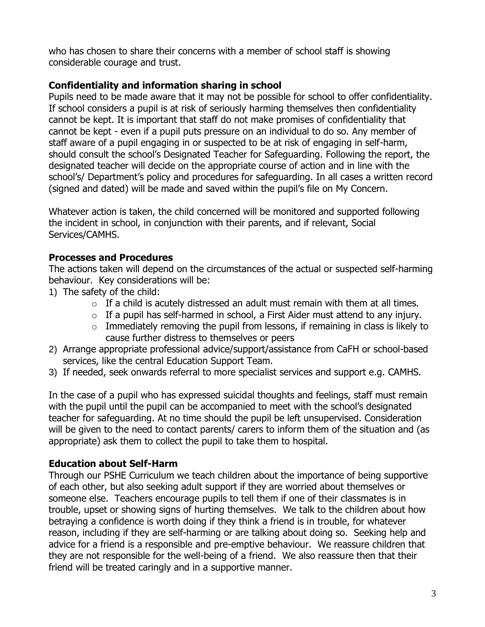who has chosen to share their concerns with a member of school staff is showing considerable courage and trust.

#### **Confidentiality and information sharing in school**

Pupils need to be made aware that it may not be possible for school to offer confidentiality. If school considers a pupil is at risk of seriously harming themselves then confidentiality cannot be kept. It is important that staff do not make promises of confidentiality that cannot be kept - even if a pupil puts pressure on an individual to do so. Any member of staff aware of a pupil engaging in or suspected to be at risk of engaging in self-harm, should consult the school's Designated Teacher for Safeguarding. Following the report, the designated teacher will decide on the appropriate course of action and in line with the school's/ Department's policy and procedures for safeguarding. In all cases a written record (signed and dated) will be made and saved within the pupil's file on My Concern.

Whatever action is taken, the child concerned will be monitored and supported following the incident in school, in conjunction with their parents, and if relevant, Social Services/CAMHS.

# **Processes and Procedures**

The actions taken will depend on the circumstances of the actual or suspected self-harming behaviour. Key considerations will be:

- 1) The safety of the child:
	- $\circ$  If a child is acutely distressed an adult must remain with them at all times.
	- $\circ$  If a pupil has self-harmed in school, a First Aider must attend to any injury.
	- $\circ$  Immediately removing the pupil from lessons, if remaining in class is likely to cause further distress to themselves or peers
- 2) Arrange appropriate professional advice/support/assistance from CaFH or school-based services, like the central Education Support Team.
- 3) If needed, seek onwards referral to more specialist services and support e.g. CAMHS.

In the case of a pupil who has expressed suicidal thoughts and feelings, staff must remain with the pupil until the pupil can be accompanied to meet with the school's designated teacher for safeguarding. At no time should the pupil be left unsupervised. Consideration will be given to the need to contact parents/ carers to inform them of the situation and (as appropriate) ask them to collect the pupil to take them to hospital.

# **Education about Self-Harm**

Through our PSHE Curriculum we teach children about the importance of being supportive of each other, but also seeking adult support if they are worried about themselves or someone else. Teachers encourage pupils to tell them if one of their classmates is in trouble, upset or showing signs of hurting themselves. We talk to the children about how betraying a confidence is worth doing if they think a friend is in trouble, for whatever reason, including if they are self-harming or are talking about doing so. Seeking help and advice for a friend is a responsible and pre-emptive behaviour. We reassure children that they are not responsible for the well-being of a friend. We also reassure then that their friend will be treated caringly and in a supportive manner.